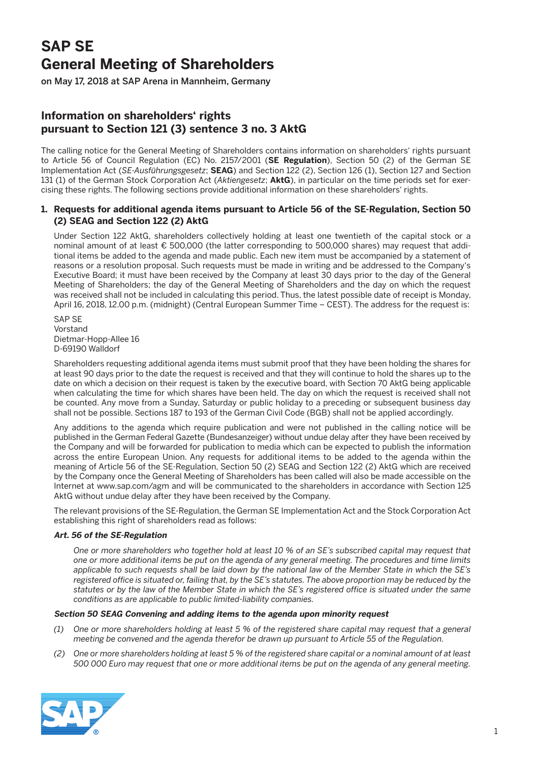# **SAP SE General Meeting of Shareholders**

on May 17, 2018 at SAP Arena in Mannheim, Germany

# **Information on shareholders' rights pursuant to Section 121 (3) sentence 3 no. 3 AktG**

The calling notice for the General Meeting of Shareholders contains information on shareholders' rights pursuant to Article 56 of Council Regulation (EC) No. 2157/2001 (**SE Regulation**), Section 50 (2) of the German SE Implementation Act (*SE-Ausführungsgesetz*; **SEAG**) and Section 122 (2), Section 126 (1), Section 127 and Section 131 (1) of the German Stock Corporation Act (*Aktiengesetz*; **AktG**), in particular on the time periods set for exercising these rights. The following sections provide additional information on these shareholders' rights.

## **1. Requests for additional agenda items pursuant to Article 56 of the SE-Regulation, Section 50 (2) SEAG and Section 122 (2) AktG**

 Under Section 122 AktG, shareholders collectively holding at least one twentieth of the capital stock or a nominal amount of at least € 500,000 (the latter corresponding to 500,000 shares) may request that additional items be added to the agenda and made public. Each new item must be accompanied by a statement of reasons or a resolution proposal. Such requests must be made in writing and be addressed to the Company's Executive Board; it must have been received by the Company at least 30 days prior to the day of the General Meeting of Shareholders; the day of the General Meeting of Shareholders and the day on which the request was received shall not be included in calculating this period. Thus, the latest possible date of receipt is Monday, April 16, 2018, 12.00 p.m. (midnight) (Central European Summer Time – CEST). The address for the request is:

 SAP SE Vorstand Dietmar-Hopp-Allee 16 D-69190 Walldorf

 Shareholders requesting additional agenda items must submit proof that they have been holding the shares for at least 90 days prior to the date the request is received and that they will continue to hold the shares up to the date on which a decision on their request is taken by the executive board, with Section 70 AktG being applicable when calculating the time for which shares have been held. The day on which the request is received shall not be counted. Any move from a Sunday, Saturday or public holiday to a preceding or subsequent business day shall not be possible. Sections 187 to 193 of the German Civil Code (BGB) shall not be applied accordingly.

 Any additions to the agenda which require publication and were not published in the calling notice will be published in the German Federal Gazette (Bundesanzeiger) without undue delay after they have been received by the Company and will be forwarded for publication to media which can be expected to publish the information across the entire European Union. Any requests for additional items to be added to the agenda within the meaning of Article 56 of the SE-Regulation, Section 50 (2) SEAG and Section 122 (2) AktG which are received by the Company once the General Meeting of Shareholders has been called will also be made accessible on the Internet at www.sap.com/agm and will be communicated to the shareholders in accordance with Section 125 AktG without undue delay after they have been received by the Company.

 The relevant provisions of the SE-Regulation, the German SE Implementation Act and the Stock Corporation Act establishing this right of shareholders read as follows:

#### **Art. 56 of the SE-Regulation**

 *One or more shareholders who together hold at least 10 % of an SE's subscribed capital may request that one or more additional items be put on the agenda of any general meeting. The procedures and time limits applicable to such requests shall be laid down by the national law of the Member State in which the SE's registered office is situated or, failing that, by the SE's statutes. The above proportion may be reduced by the statutes or by the law of the Member State in which the SE's registered office is situated under the same conditions as are applicable to public limited-liability companies.*

#### **Section 50 SEAG Convening and adding items to the agenda upon minority request**

- *(1) One or more shareholders holding at least 5 % of the registered share capital may request that a general meeting be convened and the agenda therefor be drawn up pursuant to Article 55 of the Regulation.*
- *(2) One or more shareholders holding at least 5 % of the registered share capital or a nominal amount of at least 500 000 Euro may request that one or more additional items be put on the agenda of any general meeting.*

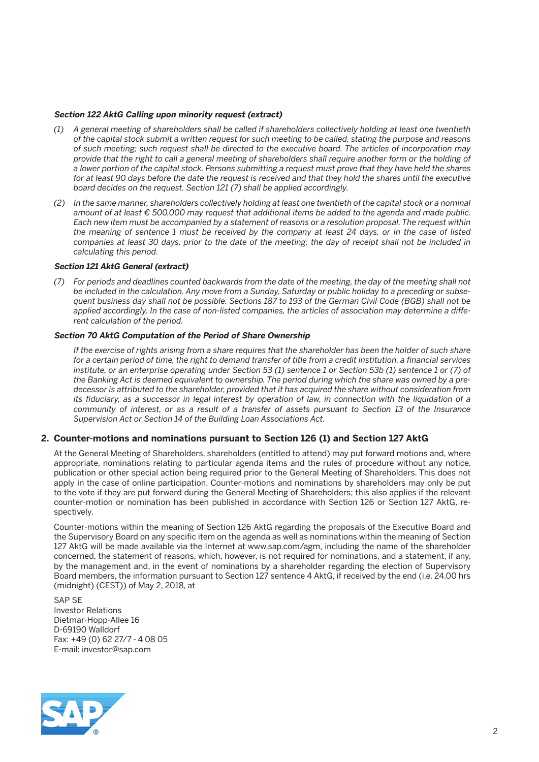#### **Section 122 AktG Calling upon minority request (extract)**

- *(1) A general meeting of shareholders shall be called if shareholders collectively holding at least one twentieth of the capital stock submit a written request for such meeting to be called, stating the purpose and reasons of such meeting; such request shall be directed to the executive board. The articles of incorporation may provide that the right to call a general meeting of shareholders shall require another form or the holding of a lower portion of the capital stock. Persons submitting a request must prove that they have held the shares*  for at least 90 days before the date the request is received and that they hold the shares until the executive *board decides on the request. Section 121 (7) shall be applied accordingly.*
- *(2) In the same manner, shareholders collectively holding at least one twentieth of the capital stock or a nominal amount of at least € 500,000 may request that additional items be added to the agenda and made public. Each new item must be accompanied by a statement of reasons or a resolution proposal. The request within the meaning of sentence 1 must be received by the company at least 24 days, or in the case of listed companies at least 30 days, prior to the date of the meeting; the day of receipt shall not be included in calculating this period.*

#### **Section 121 AktG General (extract)**

 *(7) For periods and deadlines counted backwards from the date of the meeting, the day of the meeting shall not be included in the calculation. Any move from a Sunday, Saturday or public holiday to a preceding or subsequent business day shall not be possible. Sections 187 to 193 of the German Civil Code (BGB) shall not be applied accordingly. In the case of non-listed companies, the articles of association may determine a different calculation of the period.*

#### **Section 70 AktG Computation of the Period of Share Ownership**

*If the exercise of rights arising from a share requires that the shareholder has been the holder of such share for a certain period of time, the right to demand transfer of title from a credit institution, a financial services institute, or an enterprise operating under Section 53 (1) sentence 1 or Section 53b (1) sentence 1 or (7) of the Banking Act is deemed equivalent to ownership. The period during which the share was owned by a predecessor is attributed to the shareholder, provided that it has acquired the share without consideration from its fiduciary, as a successor in legal interest by operation of law, in connection with the liquidation of a community of interest, or as a result of a transfer of assets pursuant to Section 13 of the Insurance Supervision Act or Section 14 of the Building Loan Associations Act.*

#### **2. Counter-motions and nominations pursuant to Section 126 (1) and Section 127 AktG**

 At the General Meeting of Shareholders, shareholders (entitled to attend) may put forward motions and, where appropriate, nominations relating to particular agenda items and the rules of procedure without any notice, publication or other special action being required prior to the General Meeting of Shareholders. This does not apply in the case of online participation. Counter-motions and nominations by shareholders may only be put to the vote if they are put forward during the General Meeting of Shareholders; this also applies if the relevant counter-motion or nomination has been published in accordance with Section 126 or Section 127 AktG, respectively.

 Counter-motions within the meaning of Section 126 AktG regarding the proposals of the Executive Board and the Supervisory Board on any specific item on the agenda as well as nominations within the meaning of Section 127 AktG will be made available via the Internet at www.sap.com/agm, including the name of the shareholder concerned, the statement of reasons, which, however, is not required for nominations, and a statement, if any, by the management and, in the event of nominations by a shareholder regarding the election of Supervisory Board members, the information pursuant to Section 127 sentence 4 AktG, if received by the end (i.e. 24.00 hrs (midnight) (CEST)) of May 2, 2018, at

 SAP SE Investor Relations Dietmar-Hopp-Allee 16 D-69190 Walldorf Fax: +49 (0) 62 27/7 - 4 08 05 E-mail: investor@sap.com

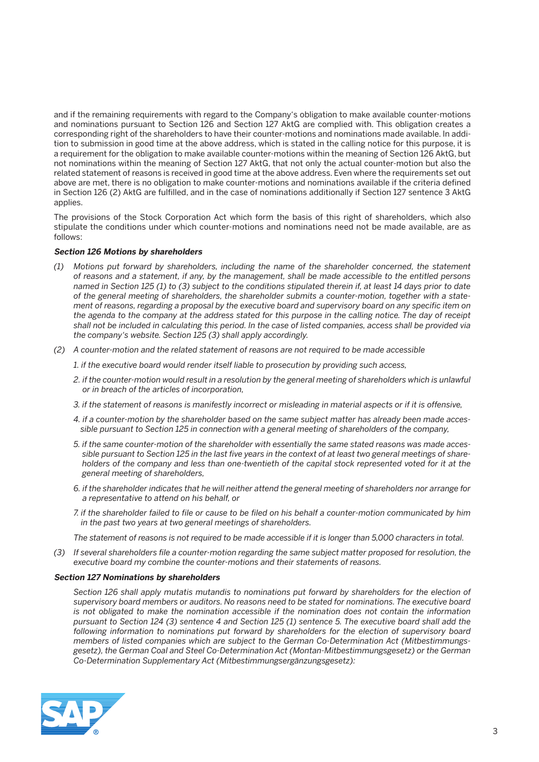and if the remaining requirements with regard to the Company's obligation to make available counter-motions and nominations pursuant to Section 126 and Section 127 AktG are complied with. This obligation creates a corresponding right of the shareholders to have their counter-motions and nominations made available. In addition to submission in good time at the above address, which is stated in the calling notice for this purpose, it is a requirement for the obligation to make available counter-motions within the meaning of Section 126 AktG, but not nominations within the meaning of Section 127 AktG, that not only the actual counter-motion but also the related statement of reasons is received in good time at the above address. Even where the requirements set out above are met, there is no obligation to make counter-motions and nominations available if the criteria defined in Section 126 (2) AktG are fulfilled, and in the case of nominations additionally if Section 127 sentence 3 AktG applies.

 The provisions of the Stock Corporation Act which form the basis of this right of shareholders, which also stipulate the conditions under which counter-motions and nominations need not be made available, are as follows:

#### **Section 126 Motions by shareholders**

- *(1) Motions put forward by shareholders, including the name of the shareholder concerned, the statement of reasons and a statement, if any, by the management, shall be made accessible to the entitled persons named in Section 125 (1) to (3) subject to the conditions stipulated therein if, at least 14 days prior to date of the general meeting of shareholders, the shareholder submits a counter-motion, together with a statement of reasons, regarding a proposal by the executive board and supervisory board on any specific item on the agenda to the company at the address stated for this purpose in the calling notice. The day of receipt shall not be included in calculating this period. In the case of listed companies, access shall be provided via the company's website. Section 125 (3) shall apply accordingly.*
- *(2) A counter-motion and the related statement of reasons are not required to be made accessible*
	- *1. if the executive board would render itself liable to prosecution by providing such access,*
	- *2. if the counter-motion would result in a resolution by the general meeting of shareholders which is unlawful or in breach of the articles of incorporation,*
	- *3. if the statement of reasons is manifestly incorrect or misleading in material aspects or if it is offensive,*
	- *4. if a counter-motion by the shareholder based on the same subject matter has already been made accessible pursuant to Section 125 in connection with a general meeting of shareholders of the company,*
	- *5. if the same counter-motion of the shareholder with essentially the same stated reasons was made accessible pursuant to Section 125 in the last five years in the context of at least two general meetings of shareholders of the company and less than one-twentieth of the capital stock represented voted for it at the general meeting of shareholders,*
	- *6. if the shareholder indicates that he will neither attend the general meeting of shareholders nor arrange for a representative to attend on his behalf, or*
	- *7. if the shareholder failed to file or cause to be filed on his behalf a counter-motion communicated by him in the past two years at two general meetings of shareholders.*
	- *The statement of reasons is not required to be made accessible if it is longer than 5,000 characters in total.*
- *(3) If several shareholders file a counter-motion regarding the same subject matter proposed for resolution, the executive board my combine the counter-motions and their statements of reasons.*

#### **Section 127 Nominations by shareholders**

 *Section 126 shall apply mutatis mutandis to nominations put forward by shareholders for the election of supervisory board members or auditors. No reasons need to be stated for nominations. The executive board is not obligated to make the nomination accessible if the nomination does not contain the information pursuant to Section 124 (3) sentence 4 and Section 125 (1) sentence 5. The executive board shall add the following information to nominations put forward by shareholders for the election of supervisory board members of listed companies which are subject to the German Co-Determination Act (Mitbestimmungsgesetz), the German Coal and Steel Co-Determination Act (Montan-Mitbestimmungsgesetz) or the German Co-Determination Supplementary Act (Mitbestimmungsergänzungsgesetz):*

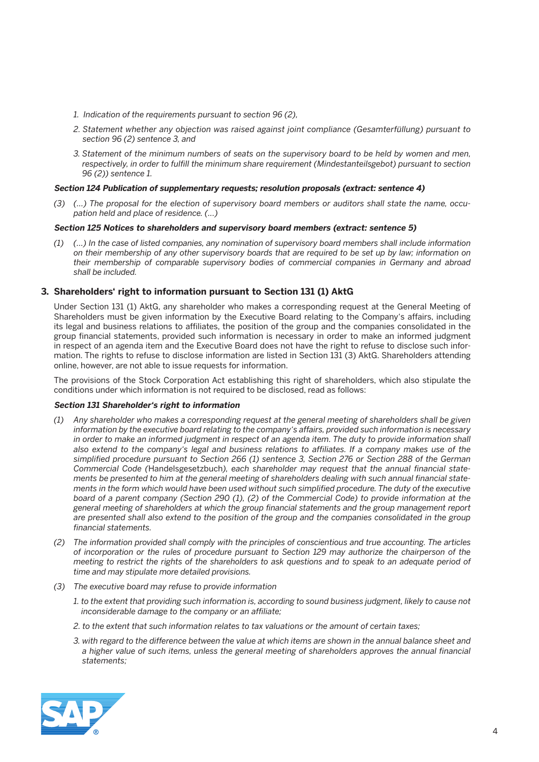- *1. Indication of the requirements pursuant to section 96 (2),*
- *2. Statement whether any objection was raised against joint compliance (Gesamterfüllung) pursuant to section 96 (2) sentence 3, and*
- *3. Statement of the minimum numbers of seats on the supervisory board to be held by women and men, respectively, in order to fulfill the minimum share requirement (Mindestanteilsgebot) pursuant to section 96 (2)) sentence 1.*

#### **Section 124 Publication of supplementary requests; resolution proposals (extract: sentence 4)**

 *(3) (...) The proposal for the election of supervisory board members or auditors shall state the name, occupation held and place of residence. (...)*

#### **Section 125 Notices to shareholders and supervisory board members (extract: sentence 5)**

 *(1) (…) In the case of listed companies, any nomination of supervisory board members shall include information on their membership of any other supervisory boards that are required to be set up by law; information on their membership of comparable supervisory bodies of commercial companies in Germany and abroad shall be included.*

## **3. Shareholders' right to information pursuant to Section 131 (1) AktG**

 Under Section 131 (1) AktG, any shareholder who makes a corresponding request at the General Meeting of Shareholders must be given information by the Executive Board relating to the Company's affairs, including its legal and business relations to affiliates, the position of the group and the companies consolidated in the group financial statements, provided such information is necessary in order to make an informed judgment in respect of an agenda item and the Executive Board does not have the right to refuse to disclose such information. The rights to refuse to disclose information are listed in Section 131 (3) AktG. Shareholders attending online, however, are not able to issue requests for information.

 The provisions of the Stock Corporation Act establishing this right of shareholders, which also stipulate the conditions under which information is not required to be disclosed, read as follows:

#### **Section 131 Shareholder's right to information**

- *(1) Any shareholder who makes a corresponding request at the general meeting of shareholders shall be given information by the executive board relating to the company's affairs, provided such information is necessary*  in order to make an informed judgment in respect of an agenda item. The duty to provide information shall *also extend to the company's legal and business relations to affiliates. If a company makes use of the simplified procedure pursuant to Section 266 (1) sentence 3, Section 276 or Section 288 of the German Commercial Code (*Handelsgesetzbuch*), each shareholder may request that the annual financial statements be presented to him at the general meeting of shareholders dealing with such annual financial statements in the form which would have been used without such simplified procedure. The duty of the executive board of a parent company (Section 290 (1), (2) of the Commercial Code) to provide information at the general meeting of shareholders at which the group financial statements and the group management report are presented shall also extend to the position of the group and the companies consolidated in the group financial statements.*
- *(2) The information provided shall comply with the principles of conscientious and true accounting. The articles of incorporation or the rules of procedure pursuant to Section 129 may authorize the chairperson of the meeting to restrict the rights of the shareholders to ask questions and to speak to an adequate period of time and may stipulate more detailed provisions.*
- *(3) The executive board may refuse to provide information* 
	- *1. to the extent that providing such information is, according to sound business judgment, likely to cause not inconsiderable damage to the company or an affiliate;*
	- *2. to the extent that such information relates to tax valuations or the amount of certain taxes;*
	- *3. with regard to the difference between the value at which items are shown in the annual balance sheet and a higher value of such items, unless the general meeting of shareholders approves the annual financial statements;*